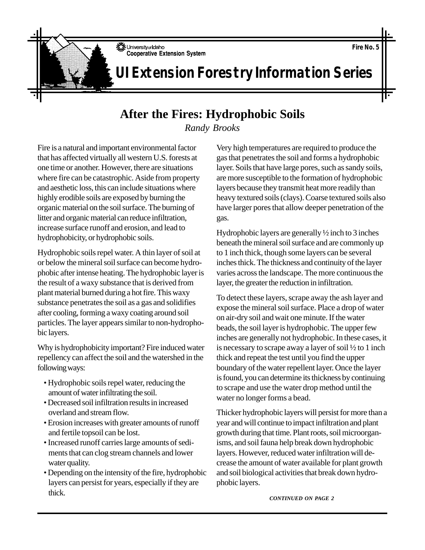University of Idaho **Cooperative Extension System** 

## **After the Fires: Hydrophobic Soils**

*Randy Brooks*

Fire is a natural and important environmental factor that has affected virtually all western U.S. forests at one time or another. However, there are situations where fire can be catastrophic. Aside from property and aesthetic loss, this can include situations where highly erodible soils are exposed by burning the organic material on the soil surface. The burning of litter and organic material can reduce infiltration, increase surface runoff and erosion, and lead to hydrophobicity, or hydrophobic soils.

Hydrophobic soils repel water. A thin layer of soil at or below the mineral soil surface can become hydrophobic after intense heating. The hydrophobic layer is the result of a waxy substance that is derived from plant material burned during a hot fire. This waxy substance penetrates the soil as a gas and solidifies after cooling, forming a waxy coating around soil particles. The layer appears similar to non-hydrophobic layers.

Why is hydrophobicity important? Fire induced water repellency can affect the soil and the watershed in the following ways:

- Hydrophobic soils repel water, reducing the amount of water infiltrating the soil.
- Decreased soil infiltration results in increased overland and stream flow.
- Erosion increases with greater amounts of runoff and fertile topsoil can be lost.
- Increased runoff carries large amounts of sediments that can clog stream channels and lower water quality.
- Depending on the intensity of the fire, hydrophobic layers can persist for years, especially if they are thick.

Very high temperatures are required to produce the gas that penetrates the soil and forms a hydrophobic layer. Soils that have large pores, such as sandy soils, are more susceptible to the formation of hydrophobic layers because they transmit heat more readily than heavy textured soils (clays). Coarse textured soils also have larger pores that allow deeper penetration of the gas.

Hydrophobic layers are generally ½ inch to 3 inches beneath the mineral soil surface and are commonly up to 1 inch thick, though some layers can be several inches thick. The thickness and continuity of the layer varies across the landscape. The more continuous the layer, the greater the reduction in infiltration.

To detect these layers, scrape away the ash layer and expose the mineral soil surface. Place a drop of water on air-dry soil and wait one minute. If the water beads, the soil layer is hydrophobic. The upper few inches are generally not hydrophobic. In these cases, it is necessary to scrape away a layer of soil ½ to 1 inch thick and repeat the test until you find the upper boundary of the water repellent layer. Once the layer is found, you can determine its thickness by continuing to scrape and use the water drop method until the water no longer forms a bead.

Thicker hydrophobic layers will persist for more than a year and will continue to impact infiltration and plant growth during that time. Plant roots, soil microorganisms, and soil fauna help break down hydrophobic layers. However, reduced water infiltration will decrease the amount of water available for plant growth and soil biological activities that break down hydrophobic layers.

*CONTINUED ON PAGE 2*